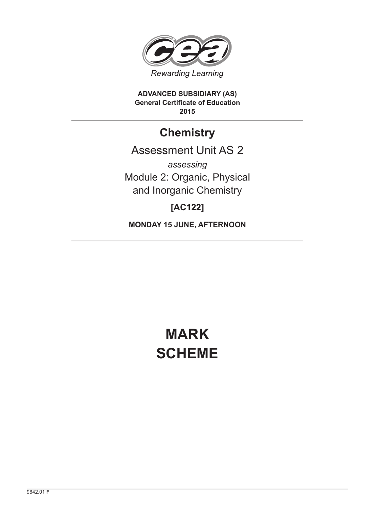

**ADVANCED SUBSIDIARY (AS) General Certificate of Education 2015**

## **Chemistry**

## Assessment Unit AS 2

*assessing* Module 2: Organic, Physical and Inorganic Chemistry

### **[AC122]**

**MONDAY 15 JUNE, AFTERNOON**

# **MARK SCHEME**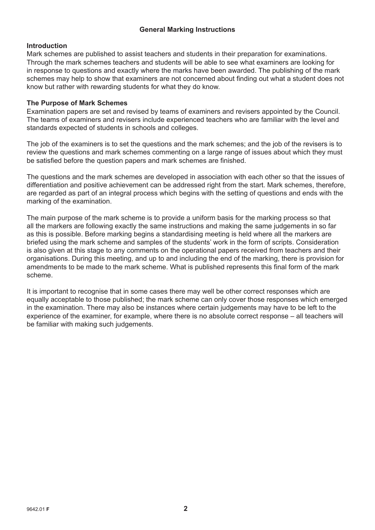#### **General Marking Instructions**

#### **Introduction**

Mark schemes are published to assist teachers and students in their preparation for examinations. Through the mark schemes teachers and students will be able to see what examiners are looking for in response to questions and exactly where the marks have been awarded. The publishing of the mark schemes may help to show that examiners are not concerned about finding out what a student does not know but rather with rewarding students for what they do know.

#### **The Purpose of Mark Schemes**

Examination papers are set and revised by teams of examiners and revisers appointed by the Council. The teams of examiners and revisers include experienced teachers who are familiar with the level and standards expected of students in schools and colleges.

The job of the examiners is to set the questions and the mark schemes; and the job of the revisers is to review the questions and mark schemes commenting on a large range of issues about which they must be satisfied before the question papers and mark schemes are finished.

The questions and the mark schemes are developed in association with each other so that the issues of differentiation and positive achievement can be addressed right from the start. Mark schemes, therefore, are regarded as part of an integral process which begins with the setting of questions and ends with the marking of the examination.

The main purpose of the mark scheme is to provide a uniform basis for the marking process so that all the markers are following exactly the same instructions and making the same judgements in so far as this is possible. Before marking begins a standardising meeting is held where all the markers are briefed using the mark scheme and samples of the students' work in the form of scripts. Consideration is also given at this stage to any comments on the operational papers received from teachers and their organisations. During this meeting, and up to and including the end of the marking, there is provision for amendments to be made to the mark scheme. What is published represents this final form of the mark scheme.

It is important to recognise that in some cases there may well be other correct responses which are equally acceptable to those published; the mark scheme can only cover those responses which emerged in the examination. There may also be instances where certain judgements may have to be left to the experience of the examiner, for example, where there is no absolute correct response – all teachers will be familiar with making such judgements.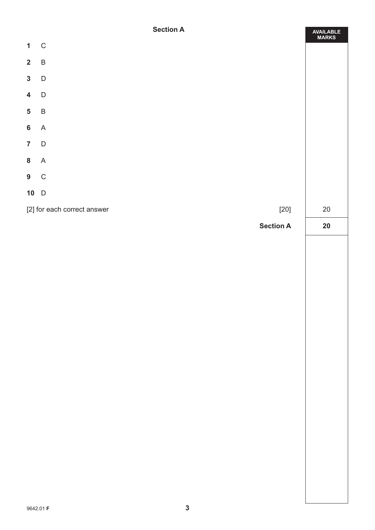#### **Section A**

|                         | <b>Section A</b>            | AVAILABLE<br>MARKS     |
|-------------------------|-----------------------------|------------------------|
| $\mathbf{1}$            | $\mathbf C$                 |                        |
|                         | $2 \quad B$                 |                        |
| $\mathbf{3}$            | $\mathsf{D}$                |                        |
| $\overline{\mathbf{4}}$ | $\mathsf D$                 |                        |
| $\overline{\mathbf{5}}$ | $\sf B$                     |                        |
| $6\phantom{a}$          | $\boldsymbol{\mathsf{A}}$   |                        |
| $\overline{7}$          | $\overline{D}$              |                        |
|                         | 8A                          |                        |
|                         | $9\quad C$                  |                        |
|                         | $10$ D                      |                        |
|                         | [2] for each correct answer | $[20]$<br>$20\,$       |
|                         |                             | <b>Section A</b><br>20 |
|                         |                             |                        |
|                         |                             |                        |
|                         |                             |                        |
|                         |                             |                        |
|                         |                             |                        |
|                         |                             |                        |
|                         |                             |                        |
|                         |                             |                        |
|                         |                             |                        |
|                         |                             |                        |
|                         |                             |                        |
|                         |                             |                        |
|                         |                             |                        |
|                         |                             |                        |
|                         |                             |                        |
|                         |                             |                        |
|                         |                             |                        |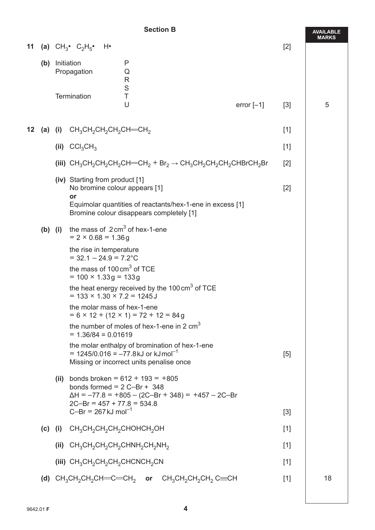#### **Section B**

|     | <b>Section B</b> |           |                                                                                                                           |                                                                                                                                                                                                                                                                                                                                                                                                                                                                                                                                                                                                                                                                                                                                                                                                                                     | <b>AVAILABLE</b>                                                                                                                                                                                                                                                                                                                                                                                                                                                                                                   |              |
|-----|------------------|-----------|---------------------------------------------------------------------------------------------------------------------------|-------------------------------------------------------------------------------------------------------------------------------------------------------------------------------------------------------------------------------------------------------------------------------------------------------------------------------------------------------------------------------------------------------------------------------------------------------------------------------------------------------------------------------------------------------------------------------------------------------------------------------------------------------------------------------------------------------------------------------------------------------------------------------------------------------------------------------------|--------------------------------------------------------------------------------------------------------------------------------------------------------------------------------------------------------------------------------------------------------------------------------------------------------------------------------------------------------------------------------------------------------------------------------------------------------------------------------------------------------------------|--------------|
|     |                  |           |                                                                                                                           |                                                                                                                                                                                                                                                                                                                                                                                                                                                                                                                                                                                                                                                                                                                                                                                                                                     | $[2]$                                                                                                                                                                                                                                                                                                                                                                                                                                                                                                              | <b>MARKS</b> |
| (b) |                  |           | P<br>Q<br>$\mathsf{R}$                                                                                                    |                                                                                                                                                                                                                                                                                                                                                                                                                                                                                                                                                                                                                                                                                                                                                                                                                                     |                                                                                                                                                                                                                                                                                                                                                                                                                                                                                                                    |              |
|     |                  |           | $\top$<br>U                                                                                                               | error $[-1]$                                                                                                                                                                                                                                                                                                                                                                                                                                                                                                                                                                                                                                                                                                                                                                                                                        | $[3]$                                                                                                                                                                                                                                                                                                                                                                                                                                                                                                              | 5            |
|     |                  |           |                                                                                                                           |                                                                                                                                                                                                                                                                                                                                                                                                                                                                                                                                                                                                                                                                                                                                                                                                                                     | $[1]$                                                                                                                                                                                                                                                                                                                                                                                                                                                                                                              |              |
|     |                  |           |                                                                                                                           |                                                                                                                                                                                                                                                                                                                                                                                                                                                                                                                                                                                                                                                                                                                                                                                                                                     | $[1]$                                                                                                                                                                                                                                                                                                                                                                                                                                                                                                              |              |
|     |                  |           |                                                                                                                           |                                                                                                                                                                                                                                                                                                                                                                                                                                                                                                                                                                                                                                                                                                                                                                                                                                     | $[2]$                                                                                                                                                                                                                                                                                                                                                                                                                                                                                                              |              |
|     |                  | or        |                                                                                                                           |                                                                                                                                                                                                                                                                                                                                                                                                                                                                                                                                                                                                                                                                                                                                                                                                                                     | $[2]$                                                                                                                                                                                                                                                                                                                                                                                                                                                                                                              |              |
|     |                  |           |                                                                                                                           |                                                                                                                                                                                                                                                                                                                                                                                                                                                                                                                                                                                                                                                                                                                                                                                                                                     |                                                                                                                                                                                                                                                                                                                                                                                                                                                                                                                    |              |
|     |                  |           |                                                                                                                           |                                                                                                                                                                                                                                                                                                                                                                                                                                                                                                                                                                                                                                                                                                                                                                                                                                     |                                                                                                                                                                                                                                                                                                                                                                                                                                                                                                                    |              |
|     |                  |           |                                                                                                                           |                                                                                                                                                                                                                                                                                                                                                                                                                                                                                                                                                                                                                                                                                                                                                                                                                                     |                                                                                                                                                                                                                                                                                                                                                                                                                                                                                                                    |              |
|     |                  |           |                                                                                                                           |                                                                                                                                                                                                                                                                                                                                                                                                                                                                                                                                                                                                                                                                                                                                                                                                                                     |                                                                                                                                                                                                                                                                                                                                                                                                                                                                                                                    |              |
|     |                  |           |                                                                                                                           |                                                                                                                                                                                                                                                                                                                                                                                                                                                                                                                                                                                                                                                                                                                                                                                                                                     |                                                                                                                                                                                                                                                                                                                                                                                                                                                                                                                    |              |
|     |                  |           |                                                                                                                           |                                                                                                                                                                                                                                                                                                                                                                                                                                                                                                                                                                                                                                                                                                                                                                                                                                     |                                                                                                                                                                                                                                                                                                                                                                                                                                                                                                                    |              |
|     |                  |           |                                                                                                                           |                                                                                                                                                                                                                                                                                                                                                                                                                                                                                                                                                                                                                                                                                                                                                                                                                                     | $[5]$                                                                                                                                                                                                                                                                                                                                                                                                                                                                                                              |              |
|     |                  |           |                                                                                                                           |                                                                                                                                                                                                                                                                                                                                                                                                                                                                                                                                                                                                                                                                                                                                                                                                                                     |                                                                                                                                                                                                                                                                                                                                                                                                                                                                                                                    |              |
|     |                  |           |                                                                                                                           |                                                                                                                                                                                                                                                                                                                                                                                                                                                                                                                                                                                                                                                                                                                                                                                                                                     | $[3]$                                                                                                                                                                                                                                                                                                                                                                                                                                                                                                              |              |
|     |                  |           |                                                                                                                           |                                                                                                                                                                                                                                                                                                                                                                                                                                                                                                                                                                                                                                                                                                                                                                                                                                     | $[1]$                                                                                                                                                                                                                                                                                                                                                                                                                                                                                                              |              |
|     |                  |           |                                                                                                                           |                                                                                                                                                                                                                                                                                                                                                                                                                                                                                                                                                                                                                                                                                                                                                                                                                                     | $[1]$                                                                                                                                                                                                                                                                                                                                                                                                                                                                                                              |              |
|     |                  |           |                                                                                                                           |                                                                                                                                                                                                                                                                                                                                                                                                                                                                                                                                                                                                                                                                                                                                                                                                                                     | $[1]$                                                                                                                                                                                                                                                                                                                                                                                                                                                                                                              |              |
|     |                  |           |                                                                                                                           |                                                                                                                                                                                                                                                                                                                                                                                                                                                                                                                                                                                                                                                                                                                                                                                                                                     | $[1]$                                                                                                                                                                                                                                                                                                                                                                                                                                                                                                              | 18           |
|     |                  | $(b)$ (i) | 11 (a) $CH_3^{\bullet}$ $C_2H_5^{\bullet}$ H <sup>o</sup><br>Initiation<br>Propagation<br>Termination<br>(ii) $CCl_3CH_3$ | $\mathsf{S}$<br>12 (a) (i) $CH_3CH_2CH_2CH_2CH=CH_2$<br>(iv) Starting from product [1]<br>No bromine colour appears [1]<br>the mass of $2 \text{ cm}^3$ of hex-1-ene<br>$= 2 \times 0.68 = 1.36$ g<br>the rise in temperature<br>$= 32.1 - 24.9 = 7.2$ °C<br>the mass of $100 \text{ cm}^3$ of TCE<br>$= 100 \times 1.33$ g = 133 g<br>$= 133 \times 1.30 \times 7.2 = 1245$<br>the molar mass of hex-1-ene<br>$= 6 \times 12 + (12 \times 1) = 72 + 12 = 84g$<br>$= 1.36/84 = 0.01619$<br>$= 1245/0.016 = -77.8$ kJ or kJmol <sup>-1</sup><br>(ii) bonds broken = $612 + 193 = +805$<br>bonds formed = $2$ C-Br + 348<br>$2C-Br = 457 + 77.8 = 534.8$<br>$C-Br = 267 \text{ kJ} \text{ mol}^{-1}$<br>(c) (i) $CH_3CH_2CH_2CH_2CH_2CHOHCH_2OH$<br>(ii) $CH_3CH_2CH_2CH_2CH_1CH_2CH_2CH_2NH_2$<br>(iii) $CH_3CH_2CH_2CH_2CHCHCH_2CN$ | (iii) $CH_3CH_2CH_2CH_2CH=CH_2 + Br_2 \rightarrow CH_3CH_2CH_2CH_2CHBrCH_2Br$<br>Equimolar quantities of reactants/hex-1-ene in excess [1]<br>Bromine colour disappears completely [1]<br>the heat energy received by the 100 cm <sup>3</sup> of TCE<br>the number of moles of hex-1-ene in 2 $cm3$<br>the molar enthalpy of bromination of hex-1-ene<br>Missing or incorrect units penalise once<br>$\Delta H = -77.8 = +805 - (2C-Br + 348) = +457 - 2C-Br$<br>(d) $CH_3CH_2CH_2CH=CH_2$ or $CH_3CH_2CH_2CH_2CH$ |              |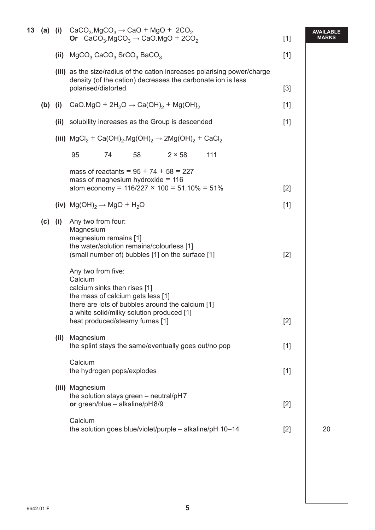|           |      | 13 (a) (i) $CaCO3 \text{MgCO}3 \rightarrow CaO + MgO + 2CO2$<br>Or $CaCO3$ .MgCO <sub>3</sub> $\rightarrow$ CaO.MgO + 2CO <sub>2</sub>                                                                          | $[1]$ | <b>AVAILABLE</b><br><b>MARKS</b> |
|-----------|------|-----------------------------------------------------------------------------------------------------------------------------------------------------------------------------------------------------------------|-------|----------------------------------|
|           | (ii) | $MgCO3$ CaCO <sub>3</sub> SrCO <sub>3</sub> BaCO <sub>3</sub>                                                                                                                                                   | $[1]$ |                                  |
|           |      | (iii) as the size/radius of the cation increases polarising power/charge<br>density (of the cation) decreases the carbonate ion is less<br>polarised/distorted                                                  | $[3]$ |                                  |
| $(b)$ (i) |      | CaO.MgO + $2H_2O \rightarrow Ca(OH)_2 + Mg(OH)_2$                                                                                                                                                               | $[1]$ |                                  |
|           | (ii) | solubility increases as the Group is descended                                                                                                                                                                  | $[1]$ |                                  |
|           |      | (iii) $MgCl_2$ + Ca(OH) <sub>2</sub> .Mg(OH) <sub>2</sub> $\rightarrow$ 2Mg(OH) <sub>2</sub> + CaCl <sub>2</sub>                                                                                                |       |                                  |
|           |      | 95<br>74<br>58<br>$2 \times 58$<br>111                                                                                                                                                                          |       |                                  |
|           |      | mass of reactants = $95 + 74 + 58 = 227$<br>mass of magnesium hydroxide = $116$<br>atom economy = $116/227 \times 100 = 51.10\% = 51\%$                                                                         | $[2]$ |                                  |
|           |      | (iv) $Mg(OH)_2 \rightarrow MgO + H_2O$                                                                                                                                                                          | $[1]$ |                                  |
| $(c)$ (i) |      | Any two from four:<br>Magnesium<br>magnesium remains [1]<br>the water/solution remains/colourless [1]<br>(small number of) bubbles [1] on the surface [1]<br>Any two from five:                                 | $[2]$ |                                  |
|           |      | Calcium<br>calcium sinks then rises [1]<br>the mass of calcium gets less [1]<br>there are lots of bubbles around the calcium [1]<br>a white solid/milky solution produced [1]<br>heat produced/steamy fumes [1] | $[2]$ |                                  |
|           | (ii) | Magnesium<br>the splint stays the same/eventually goes out/no pop                                                                                                                                               | $[1]$ |                                  |
|           |      | Calcium<br>the hydrogen pops/explodes                                                                                                                                                                           | $[1]$ |                                  |
|           |      | (iii) Magnesium<br>the solution stays green - neutral/pH7<br>or green/blue $-$ alkaline/pH8/9                                                                                                                   | $[2]$ |                                  |
|           |      | Calcium<br>the solution goes blue/violet/purple - alkaline/pH 10-14                                                                                                                                             | $[2]$ | 20                               |
|           |      |                                                                                                                                                                                                                 |       |                                  |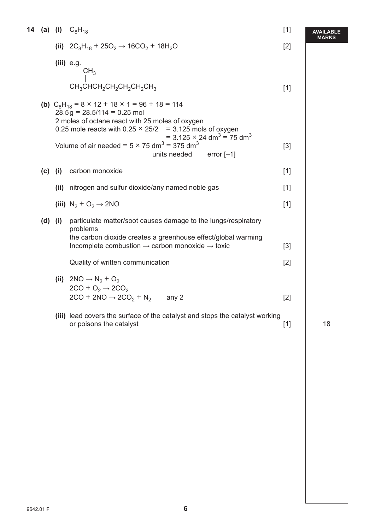|             |      | <b>14 (a) (i)</b> $C_8H_{18}$                                                                                                                                                                                                                                                                                                                                                                | $[1]$ | AVAILABLE    |
|-------------|------|----------------------------------------------------------------------------------------------------------------------------------------------------------------------------------------------------------------------------------------------------------------------------------------------------------------------------------------------------------------------------------------------|-------|--------------|
|             |      | (ii) $2C_8H_{18}$ + $25O_2 \rightarrow 16CO_2$ + $18H_2O$                                                                                                                                                                                                                                                                                                                                    | $[2]$ | <b>MARKS</b> |
|             |      | $(iii)$ e.g.<br>CH <sub>3</sub>                                                                                                                                                                                                                                                                                                                                                              |       |              |
|             |      | $CH_3CHCH_2CH_2CH_2CH_2CH_2CH_3$                                                                                                                                                                                                                                                                                                                                                             | $[1]$ |              |
|             |      | (b) $C_8H_{18} = 8 \times 12 + 18 \times 1 = 96 + 18 = 114$<br>$28.5g = 28.5/114 = 0.25$ mol<br>2 moles of octane react with 25 moles of oxygen<br>0.25 mole reacts with $0.25 \times 25/2 = 3.125$ mols of oxygen<br>= 3.125 $\times$ 24 dm <sup>3</sup> = 75 dm <sup>3</sup><br>Volume of air needed = $5 \times 75$ dm <sup>3</sup> = 375 dm <sup>3</sup><br>units needed<br>error $[-1]$ | $[3]$ |              |
| $(c)$ (i)   |      | carbon monoxide                                                                                                                                                                                                                                                                                                                                                                              | $[1]$ |              |
|             | (ii) | nitrogen and sulfur dioxide/any named noble gas                                                                                                                                                                                                                                                                                                                                              | $[1]$ |              |
|             |      | (iii) $N_2 + O_2 \rightarrow 2NO$                                                                                                                                                                                                                                                                                                                                                            | $[1]$ |              |
| $(d)$ $(i)$ |      | particulate matter/soot causes damage to the lungs/respiratory<br>problems<br>the carbon dioxide creates a greenhouse effect/global warming<br>Incomplete combustion $\rightarrow$ carbon monoxide $\rightarrow$ toxic                                                                                                                                                                       | $[3]$ |              |
|             |      | Quality of written communication                                                                                                                                                                                                                                                                                                                                                             | $[2]$ |              |
|             |      | (ii) $2NO \rightarrow N_2 + O_2$<br>$2CO + O2 \rightarrow 2CO2$<br>$2CO + 2NO \rightarrow 2CO2 + N2$<br>any 2                                                                                                                                                                                                                                                                                | $[2]$ |              |
|             |      | (iii) lead covers the surface of the catalyst and stops the catalyst working<br>or poisons the catalyst                                                                                                                                                                                                                                                                                      | $[1]$ | 18           |
|             |      |                                                                                                                                                                                                                                                                                                                                                                                              |       |              |